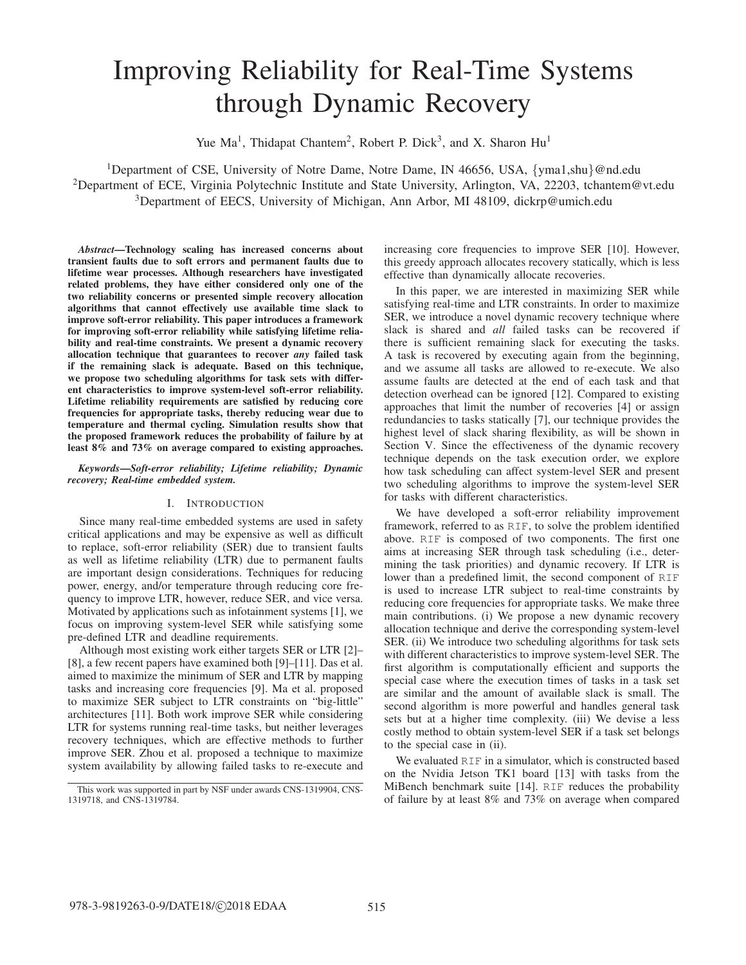# Improving Reliability for Real-Time Systems through Dynamic Recovery

Yue Ma<sup>1</sup>, Thidapat Chantem<sup>2</sup>, Robert P. Dick<sup>3</sup>, and X. Sharon Hu<sup>1</sup>

<sup>1</sup>Department of CSE, University of Notre Dame, Notre Dame, IN 46656, USA, {yma1,shu}@nd.edu 2Department of ECE, Virginia Polytechnic Institute and State University, Arlington, VA, 22203, tchantem@vt.edu 3Department of EECS, University of Michigan, Ann Arbor, MI 48109, dickrp@umich.edu

*Abstract*—Technology scaling has increased concerns about transient faults due to soft errors and permanent faults due to lifetime wear processes. Although researchers have investigated related problems, they have either considered only one of the two reliability concerns or presented simple recovery allocation algorithms that cannot effectively use available time slack to improve soft-error reliability. This paper introduces a framework for improving soft-error reliability while satisfying lifetime reliability and real-time constraints. We present a dynamic recovery allocation technique that guarantees to recover *any* failed task if the remaining slack is adequate. Based on this technique, we propose two scheduling algorithms for task sets with different characteristics to improve system-level soft-error reliability. Lifetime reliability requirements are satisfied by reducing core frequencies for appropriate tasks, thereby reducing wear due to temperature and thermal cycling. Simulation results show that the proposed framework reduces the probability of failure by at least 8% and 73% on average compared to existing approaches.

*Keywords*—*Soft-error reliability; Lifetime reliability; Dynamic recovery; Real-time embedded system.*

# I. INTRODUCTION

Since many real-time embedded systems are used in safety critical applications and may be expensive as well as difficult to replace, soft-error reliability (SER) due to transient faults as well as lifetime reliability (LTR) due to permanent faults are important design considerations. Techniques for reducing power, energy, and/or temperature through reducing core frequency to improve LTR, however, reduce SER, and vice versa. Motivated by applications such as infotainment systems [1], we focus on improving system-level SER while satisfying some pre-defined LTR and deadline requirements.

Although most existing work either targets SER or LTR [2]– [8], a few recent papers have examined both [9]–[11]. Das et al. aimed to maximize the minimum of SER and LTR by mapping tasks and increasing core frequencies [9]. Ma et al. proposed to maximize SER subject to LTR constraints on "big-little" architectures [11]. Both work improve SER while considering LTR for systems running real-time tasks, but neither leverages recovery techniques, which are effective methods to further improve SER. Zhou et al. proposed a technique to maximize system availability by allowing failed tasks to re-execute and increasing core frequencies to improve SER [10]. However, this greedy approach allocates recovery statically, which is less effective than dynamically allocate recoveries.

In this paper, we are interested in maximizing SER while satisfying real-time and LTR constraints. In order to maximize SER, we introduce a novel dynamic recovery technique where slack is shared and *all* failed tasks can be recovered if there is sufficient remaining slack for executing the tasks. A task is recovered by executing again from the beginning, and we assume all tasks are allowed to re-execute. We also assume faults are detected at the end of each task and that detection overhead can be ignored [12]. Compared to existing approaches that limit the number of recoveries [4] or assign redundancies to tasks statically [7], our technique provides the highest level of slack sharing flexibility, as will be shown in Section V. Since the effectiveness of the dynamic recovery technique depends on the task execution order, we explore how task scheduling can affect system-level SER and present two scheduling algorithms to improve the system-level SER for tasks with different characteristics.

We have developed a soft-error reliability improvement framework, referred to as RIF, to solve the problem identified above. RIF is composed of two components. The first one aims at increasing SER through task scheduling (i.e., determining the task priorities) and dynamic recovery. If LTR is lower than a predefined limit, the second component of RIF is used to increase LTR subject to real-time constraints by reducing core frequencies for appropriate tasks. We make three main contributions. (i) We propose a new dynamic recovery allocation technique and derive the corresponding system-level SER. (ii) We introduce two scheduling algorithms for task sets with different characteristics to improve system-level SER. The first algorithm is computationally efficient and supports the special case where the execution times of tasks in a task set are similar and the amount of available slack is small. The second algorithm is more powerful and handles general task sets but at a higher time complexity. (iii) We devise a less costly method to obtain system-level SER if a task set belongs to the special case in (ii).

We evaluated RIF in a simulator, which is constructed based on the Nvidia Jetson TK1 board [13] with tasks from the MiBench benchmark suite [14]. RIF reduces the probability of failure by at least 8% and 73% on average when compared

This work was supported in part by NSF under awards CNS-1319904, CNS-1319718, and CNS-1319784.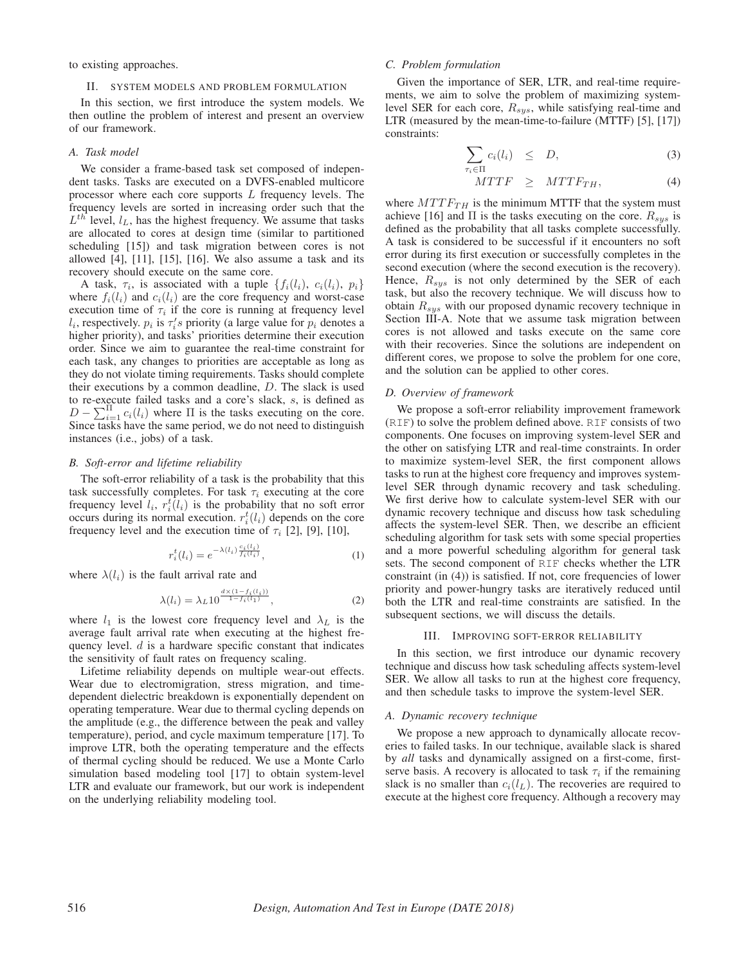to existing approaches.

#### II. SYSTEM MODELS AND PROBLEM FORMULATION

In this section, we first introduce the system models. We then outline the problem of interest and present an overview of our framework.

# *A. Task model*

We consider a frame-based task set composed of independent tasks. Tasks are executed on a DVFS-enabled multicore processor where each core supports *L* frequency levels. The frequency levels are sorted in increasing order such that the  $L^{th}$  level,  $l_L$ , has the highest frequency. We assume that tasks are allocated to cores at design time (similar to partitioned scheduling [15]) and task migration between cores is not allowed  $[4]$ ,  $[11]$ ,  $[15]$ ,  $[16]$ . We also assume a task and its recovery should execute on the same core.

A task,  $\tau_i$ , is associated with a tuple  $\{f_i(l_i), c_i(l_i), p_i\}$ where  $f_i(l_i)$  and  $c_i(l_i)$  are the core frequency and worst-case execution time of  $\tau_i$  if the core is running at frequency level  $l_i$ , respectively.  $p_i$  is  $\tau'_i s$  priority (a large value for  $p_i$  denotes a higher priority), and tasks' priorities determine their execution order. Since we aim to guarantee the real-time constraint for each task, any changes to priorities are acceptable as long as they do not violate timing requirements. Tasks should complete their executions by a common deadline, *D*. The slack is used to re-execute failed tasks and a core's slack, *s*, is defined as  $D - \sum_{i=1}^{\Pi} c_i(l_i)$  where  $\Pi$  is the tasks executing on the core. Since tasks have the same period, we do not need to distinguish instances (i.e., jobs) of a task.

# *B. Soft-error and lifetime reliability*

The soft-error reliability of a task is the probability that this task successfully completes. For task  $\tau_i$  executing at the core frequency level  $l_i$ ,  $r_i^t(l_i)$  is the probability that no soft error occurs during its normal execution.  $r_i^t(l_i)$  depends on the core frequency level and the execution time of  $\tau_i$  [2], [9], [10],

$$
r_i^t(l_i) = e^{-\lambda(l_i)\frac{c_i(l_i)}{f_i(l_i)}},\tag{1}
$$

where  $\lambda(l_i)$  is the fault arrival rate and

$$
\lambda(l_i) = \lambda_L 10^{\frac{d \times (1 - f_i(l_i))}{1 - f_i(l_1)}},\tag{2}
$$

where  $l_1$  is the lowest core frequency level and  $\lambda_L$  is the average fault arrival rate when executing at the highest frequency level. *d* is a hardware specific constant that indicates the sensitivity of fault rates on frequency scaling.

Lifetime reliability depends on multiple wear-out effects. Wear due to electromigration, stress migration, and timedependent dielectric breakdown is exponentially dependent on operating temperature. Wear due to thermal cycling depends on the amplitude (e.g., the difference between the peak and valley temperature), period, and cycle maximum temperature [17]. To improve LTR, both the operating temperature and the effects of thermal cycling should be reduced. We use a Monte Carlo simulation based modeling tool [17] to obtain system-level LTR and evaluate our framework, but our work is independent on the underlying reliability modeling tool.

# *C. Problem formulation*

Given the importance of SER, LTR, and real-time requirements, we aim to solve the problem of maximizing systemlevel SER for each core,  $R_{sys}$ , while satisfying real-time and LTR (measured by the mean-time-to-failure (MTTF) [5], [17]) constraints:

$$
\sum_{\tau_i \in \Pi} c_i(l_i) \leq D,\tag{3}
$$

$$
MTTF \geq MTTF_{TH}, \tag{4}
$$

where  $MTTF_{TH}$  is the minimum MTTF that the system must achieve [16] and  $\Pi$  is the tasks executing on the core.  $R_{sys}$  is defined as the probability that all tasks complete successfully. A task is considered to be successful if it encounters no soft error during its first execution or successfully completes in the second execution (where the second execution is the recovery). Hence,  $R_{sys}$  is not only determined by the SER of each task, but also the recovery technique. We will discuss how to obtain *R*sys with our proposed dynamic recovery technique in Section III-A. Note that we assume task migration between cores is not allowed and tasks execute on the same core with their recoveries. Since the solutions are independent on different cores, we propose to solve the problem for one core, and the solution can be applied to other cores.

## *D. Overview of framework*

We propose a soft-error reliability improvement framework (RIF) to solve the problem defined above. RIF consists of two components. One focuses on improving system-level SER and the other on satisfying LTR and real-time constraints. In order to maximize system-level SER, the first component allows tasks to run at the highest core frequency and improves systemlevel SER through dynamic recovery and task scheduling. We first derive how to calculate system-level SER with our dynamic recovery technique and discuss how task scheduling affects the system-level SER. Then, we describe an efficient scheduling algorithm for task sets with some special properties and a more powerful scheduling algorithm for general task sets. The second component of RIF checks whether the LTR constraint (in (4)) is satisfied. If not, core frequencies of lower priority and power-hungry tasks are iteratively reduced until both the LTR and real-time constraints are satisfied. In the subsequent sections, we will discuss the details.

# III. IMPROVING SOFT-ERROR RELIABILITY

In this section, we first introduce our dynamic recovery technique and discuss how task scheduling affects system-level SER. We allow all tasks to run at the highest core frequency, and then schedule tasks to improve the system-level SER.

#### *A. Dynamic recovery technique*

We propose a new approach to dynamically allocate recoveries to failed tasks. In our technique, available slack is shared by *all* tasks and dynamically assigned on a first-come, firstserve basis. A recovery is allocated to task  $\tau_i$  if the remaining slack is no smaller than  $c_i(l_L)$ . The recoveries are required to execute at the highest core frequency. Although a recovery may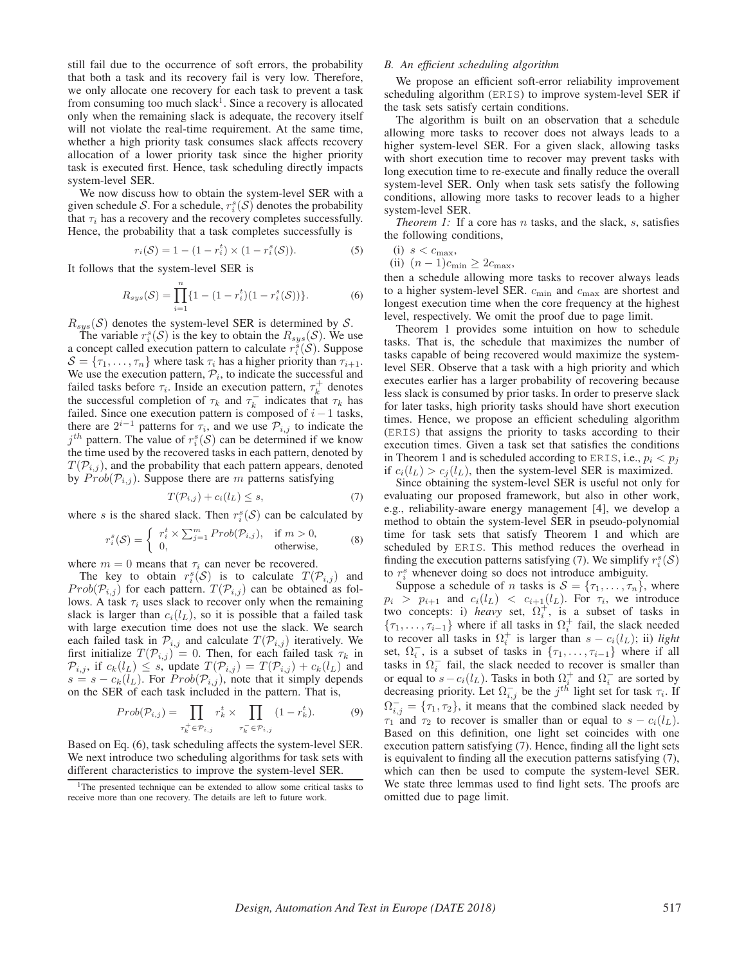still fail due to the occurrence of soft errors, the probability that both a task and its recovery fail is very low. Therefore, we only allocate one recovery for each task to prevent a task from consuming too much slack<sup>1</sup>. Since a recovery is allocated only when the remaining slack is adequate, the recovery itself will not violate the real-time requirement. At the same time, whether a high priority task consumes slack affects recovery allocation of a lower priority task since the higher priority task is executed first. Hence, task scheduling directly impacts system-level SER.

We now discuss how to obtain the system-level SER with a given schedule S. For a schedule,  $r_i^s(S)$  denotes the probability that  $\tau_i$  has a recovery and the recovery completes successfully. Hence, the probability that a task completes successfully is

$$
r_i(\mathcal{S}) = 1 - (1 - r_i^t) \times (1 - r_i^s(\mathcal{S})).
$$
 (5)

It follows that the system-level SER is

$$
R_{sys}(\mathcal{S}) = \prod_{i=1}^{n} \{1 - (1 - r_i^t)(1 - r_i^s(\mathcal{S}))\}.
$$
 (6)

 $R_{sus}(\mathcal{S})$  denotes the system-level SER is determined by  $\mathcal{S}$ .

The variable  $r_i^s(\mathcal{S})$  is the key to obtain the  $R_{sys}(\mathcal{S})$ . We use a concept called execution pattern to calculate  $r_i^s(\mathcal{S})$ . Suppose  $S = {\tau_1, \ldots, \tau_n}$  where task  $\tau_i$  has a higher priority than  $\tau_{i+1}$ . We use the execution pattern,  $P_i$ , to indicate the successful and failed tasks before  $\tau_i$ . Inside an execution pattern,  $\tau_k^+$  denotes the successful completion of  $\tau_k$  and  $\tau_k^-$  indicates that  $\tau_k$  has failed. Since one execution pattern is composed of *i*−1 tasks, there are  $2^{i-1}$  patterns for  $\tau_i$ , and we use  $\mathcal{P}_{i,j}$  to indicate the  $j<sup>th</sup>$  pattern. The value of  $r_i^s(S)$  can be determined if we know the time used by the recovered tasks in each pattern, denoted by  $T(\mathcal{P}_{i,j})$ , and the probability that each pattern appears, denoted by  $Prob(\mathcal{P}_{i,j})$ . Suppose there are *m* patterns satisfying

$$
T(\mathcal{P}_{i,j}) + c_i(l_L) \le s,\tag{7}
$$

where *s* is the shared slack. Then  $r_i^s(S)$  can be calculated by

$$
r_i^s(\mathcal{S}) = \begin{cases} r_i^t \times \sum_{j=1}^m Prob(\mathcal{P}_{i,j}), & \text{if } m > 0, \\ 0, & \text{otherwise,} \end{cases}
$$
 (8)

where  $m = 0$  means that  $\tau_i$  can never be recovered.

The key to obtain  $r_i^s(S)$  is to calculate  $T(\mathcal{P}_{i,j})$  and  $Prob(\mathcal{P}_{i,j})$  for each pattern.  $T(\mathcal{P}_{i,j})$  can be obtained as follows. A task  $\tau_i$  uses slack to recover only when the remaining slack is larger than  $c_i(l_L)$ , so it is possible that a failed task with large execution time does not use the slack. We search each failed task in  $\mathcal{P}_{i,j}$  and calculate  $T(\mathcal{P}_{i,j})$  iteratively. We first initialize  $T(\mathcal{P}_{i,j}) = 0$ . Then, for each failed task  $\tau_k$  in  $\mathcal{P}_{i,j}$ , if  $c_k(l_L) \leq s$ , update  $T(\mathcal{P}_{i,j}) = T(\mathcal{P}_{i,j}) + c_k(l_L)$  and  $s = s - c_k(l_L)$ . For  $Prob(\mathcal{P}_{i,j})$ , note that it simply depends on the SER of each task included in the pattern. That is,

$$
Prob(\mathcal{P}_{i,j}) = \prod_{\tau_k^+ \in \mathcal{P}_{i,j}} r_k^t \times \prod_{\tau_k^- \in \mathcal{P}_{i,j}} (1 - r_k^t). \tag{9}
$$

Based on Eq. (6), task scheduling affects the system-level SER. We next introduce two scheduling algorithms for task sets with different characteristics to improve the system-level SER.

# *B. An efficient scheduling algorithm*

We propose an efficient soft-error reliability improvement scheduling algorithm (ERIS) to improve system-level SER if the task sets satisfy certain conditions.

The algorithm is built on an observation that a schedule allowing more tasks to recover does not always leads to a higher system-level SER. For a given slack, allowing tasks with short execution time to recover may prevent tasks with long execution time to re-execute and finally reduce the overall system-level SER. Only when task sets satisfy the following conditions, allowing more tasks to recover leads to a higher system-level SER.

*Theorem 1:* If a core has *n* tasks, and the slack, *s*, satisfies the following conditions,

(i) 
$$
s < c_{\text{max}}
$$

(ii)  $(n-1)c_{\min} \geq 2c_{\max}$ ,

then a schedule allowing more tasks to recover always leads to a higher system-level SER. *c*min and *c*max are shortest and longest execution time when the core frequency at the highest level, respectively. We omit the proof due to page limit.

Theorem 1 provides some intuition on how to schedule tasks. That is, the schedule that maximizes the number of tasks capable of being recovered would maximize the systemlevel SER. Observe that a task with a high priority and which executes earlier has a larger probability of recovering because less slack is consumed by prior tasks. In order to preserve slack for later tasks, high priority tasks should have short execution times. Hence, we propose an efficient scheduling algorithm (ERIS) that assigns the priority to tasks according to their execution times. Given a task set that satisfies the conditions in Theorem 1 and is scheduled according to ERIS, i.e.,  $p_i < p_j$ if  $c_i(l_L) > c_j(l_L)$ , then the system-level SER is maximized.

Since obtaining the system-level SER is useful not only for evaluating our proposed framework, but also in other work, e.g., reliability-aware energy management [4], we develop a method to obtain the system-level SER in pseudo-polynomial time for task sets that satisfy Theorem 1 and which are scheduled by ERIS. This method reduces the overhead in finding the execution patterns satisfying (7). We simplify  $r_i^s(S)$ to  $r_i^s$  whenever doing so does not introduce ambiguity.

Suppose a schedule of *n* tasks is  $S = {\tau_1, \ldots, \tau_n}$ , where  $p_i > p_{i+1}$  and  $c_i(l_L) < c_{i+1}(l_L)$ . For  $\tau_i$ , we introduce two concepts: i) *heavy* set,  $\Omega_i^+$ , is a subset of tasks in  $\{\tau_1, \ldots, \tau_{i-1}\}$  where if all tasks in  $\Omega_i^+$  fail, the slack needed to recover all tasks in  $\Omega_i^+$  is larger than  $s - c_i(l_L)$ ; ii) *light* set,  $\Omega_i^-$ , is a subset of tasks in  $\{\tau_1, \ldots, \tau_{i-1}\}$  where if all tasks in  $\Omega_i^-$  fail, the slack needed to recover is smaller than or equal to  $s - c_i(l_L)$ . Tasks in both  $\Omega_i^+$  and  $\Omega_i^-$  are sorted by decreasing priority. Let  $\Omega_{i,j}^-$  be the *j*<sup>th</sup> light set for task  $\tau_i$ . If  $\Omega_{i,j}^- = {\tau_1, \tau_2}$ , it means that the combined slack needed by *τ*<sub>1</sub> and *τ*<sub>2</sub> to recover is smaller than or equal to  $s - c_i(l_L)$ . Based on this definition, one light set coincides with one execution pattern satisfying (7). Hence, finding all the light sets is equivalent to finding all the execution patterns satisfying (7), which can then be used to compute the system-level SER. We state three lemmas used to find light sets. The proofs are omitted due to page limit.

<sup>&</sup>lt;sup>1</sup>The presented technique can be extended to allow some critical tasks to receive more than one recovery. The details are left to future work.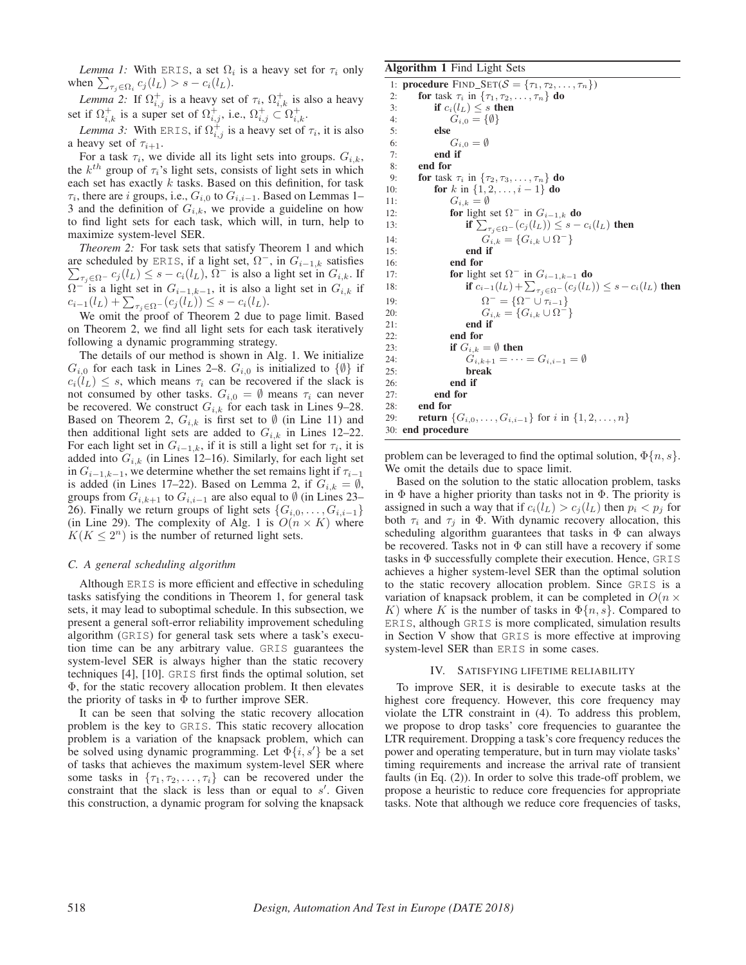*Lemma 1:* With ERIS, a set  $\Omega_i$  is a heavy set for  $\tau_i$  only when  $\sum_{\tau_j \in \Omega_i} c_j(l_L) > s - c_i(l_L)$ .

*Lemma* 2: If  $\Omega_{i,j}^+$  is a heavy set of  $\tau_i$ ,  $\Omega_{i,k}^+$  is also a heavy set if  $\Omega_{i,k}^+$  is a super set of  $\Omega_{i,j}^+$ , i.e.,  $\Omega_{i,j}^+ \subset \Omega_{i,k}^+$ .

*Lemma 3:* With ERIS, if  $\Omega_{i,j}^{\dagger}$  is a heavy set of  $\tau_i$ , it is also a heavy set of  $\tau_{i+1}$ .

For a task  $\tau_i$ , we divide all its light sets into groups.  $G_{i,k}$ , the  $k^{th}$  group of  $\tau_i$ 's light sets, consists of light sets in which each set has exactly *k* tasks. Based on this definition, for task  $\tau_i$ , there are *i* groups, i.e.,  $G_{i,0}$  to  $G_{i,i-1}$ . Based on Lemmas 1– 3 and the definition of  $G_{i,k}$ , we provide a guideline on how to find light sets for each task, which will, in turn, help to maximize system-level SER.

*Theorem 2:* For task sets that satisfy Theorem 1 and which are scheduled by ERIS, if a light set,  $\Omega^-$ , in  $G_{i-1,k}$  satisfies  $\sum_{\tau_j \in \Omega}$ - *c<sub>j</sub>*(*l*<sub>L</sub>) ≤ *s* − *c<sub>i</sub>*(*l*<sub>L</sub>),  $\Omega$ <sup>−</sup> is also a light set in *G<sub>i,k</sub>*. If  $\Omega^{-1}$  is a light set in  $G_{i-1,k-1}$ , it is also a light set in  $G_{i,k}$  if  $c_{i-1}(l_L) + \sum_{\tau_j \in \Omega^-} (c_j(l_L)) \leq s - c_i(l_L).$ 

We omit the proof of Theorem 2 due to page limit. Based on Theorem 2, we find all light sets for each task iteratively following a dynamic programming strategy.

The details of our method is shown in Alg. 1. We initialize  $G_{i,0}$  for each task in Lines 2–8.  $G_{i,0}$  is initialized to  $\{\emptyset\}$  if  $c_i(l_L) \leq s$ , which means  $\tau_i$  can be recovered if the slack is not consumed by other tasks.  $G_{i,0} = \emptyset$  means  $\tau_i$  can never be recovered. We construct  $G_{i,k}$  for each task in Lines 9–28. Based on Theorem 2,  $G_{i,k}$  is first set to  $\emptyset$  (in Line 11) and then additional light sets are added to  $G_{i,k}$  in Lines 12–22. For each light set in  $G_{i-1,k}$ , if it is still a light set for  $\tau_i$ , it is added into  $G_{i,k}$  (in Lines 12–16). Similarly, for each light set in  $G_{i-1,k-1}$ , we determine whether the set remains light if  $\tau_{i-1}$ is added (in Lines 17–22). Based on Lemma 2, if  $G_{i,k} = \emptyset$ , groups from  $G_{i,k+1}$  to  $G_{i,i-1}$  are also equal to  $\emptyset$  (in Lines 23– 26). Finally we return groups of light sets  $\{G_{i,0},\ldots,G_{i,i-1}\}\$ (in Line 29). The complexity of Alg. 1 is  $O(n \times K)$  where  $K(K \leq 2^n)$  is the number of returned light sets.

# *C. A general scheduling algorithm*

Although ERIS is more efficient and effective in scheduling tasks satisfying the conditions in Theorem 1, for general task sets, it may lead to suboptimal schedule. In this subsection, we present a general soft-error reliability improvement scheduling algorithm (GRIS) for general task sets where a task's execution time can be any arbitrary value. GRIS guarantees the system-level SER is always higher than the static recovery techniques [4], [10]. GRIS first finds the optimal solution, set Φ, for the static recovery allocation problem. It then elevates the priority of tasks in  $\Phi$  to further improve SER.

It can be seen that solving the static recovery allocation problem is the key to GRIS. This static recovery allocation problem is a variation of the knapsack problem, which can be solved using dynamic programming. Let  $\Phi\{i, s'\}$  be a set of tasks that achieves the maximum system-level SER where some tasks in  $\{\tau_1, \tau_2, \ldots, \tau_i\}$  can be recovered under the constraint that the slack is less than or equal to  $s'$ . Given this construction, a dynamic program for solving the knapsack

```
1: procedure \overline{FIND\_SET(S} = \{\tau_1, \tau_2, \ldots, \tau_n\})2: for task \tau_i in \{\tau_1, \tau_2, \ldots, \tau_n\} do
 3: if c_i(l_L) \leq s then
 4: G_{i,0} = \{\emptyset\}5: else
 6: G_{i,0} = \emptyset<br>7: end if
              end if
 8: end for<br>9: for task
         for task \tau_i in \{\tau_2, \tau_3, \ldots, \tau_n\} do
10: for k in \{1, 2, ..., i-1\} do
11: G_{i,k} = \emptyset<br>12: for light s
12: for light set \Omega^- in G_{i-1,k} do <br>13: if \sum_{n=0}^\infty (c_i(l_L)) \leq s13: if \sum_{\tau_j \in \Omega} (c_j(l_L)) \leq s - c_i(l_L) then
14: G_{i,k} = \{G_{i,k} \cup \Omega^{-}\}\15: end if
16: end for
17: for light set \Omega^- in G_{i-1,k-1} do<br>18: if c_{i-1}(l_L) + \sum_{c \in C} c_i(l_L)18: if c_{i-1}(l_L) + \sum_{\tau_j \in \Omega} (c_j(l_L)) \leq s - c_i(l_L) then
19: \Omega^- = \{\Omega^- \cup \tau_{i-1}\}<br>20: G_{i,k} = \{G_{i,k} \cup \Omega^-\}G_{i,k} = \{G_{i,k} \cup \Omega^{-}\}\21: end if
22: end for<br>23: if G_{i,k}23: if G_{i,k} = \emptyset then<br>24: G_{i,k+1} = \cdots24: G_{i,k+1} = \cdots = G_{i,i-1} = \emptyset<br>25· break
                       25: break
26: end if
27: end for<br>28: end for
         end for
29: return \{G_{i,0},...,G_{i,i-1}\} for i in \{1,2,...,n\}30: end procedure
```
problem can be leveraged to find the optimal solution, Φ{*n, s*}. We omit the details due to space limit.

Based on the solution to the static allocation problem, tasks in  $\Phi$  have a higher priority than tasks not in  $\Phi$ . The priority is assigned in such a way that if  $c_i(l_L) > c_i(l_L)$  then  $p_i < p_j$  for both  $\tau_i$  and  $\tau_j$  in  $\Phi$ . With dynamic recovery allocation, this scheduling algorithm guarantees that tasks in  $\Phi$  can always be recovered. Tasks not in  $\Phi$  can still have a recovery if some tasks in Φ successfully complete their execution. Hence, GRIS achieves a higher system-level SER than the optimal solution to the static recovery allocation problem. Since GRIS is a variation of knapsack problem, it can be completed in  $O(n \times$ *K*) where *K* is the number of tasks in  $\Phi\{n, s\}$ . Compared to ERIS, although GRIS is more complicated, simulation results in Section V show that GRIS is more effective at improving system-level SER than ERIS in some cases.

#### IV. SATISFYING LIFETIME RELIABILITY

To improve SER, it is desirable to execute tasks at the highest core frequency. However, this core frequency may violate the LTR constraint in (4). To address this problem, we propose to drop tasks' core frequencies to guarantee the LTR requirement. Dropping a task's core frequency reduces the power and operating temperature, but in turn may violate tasks' timing requirements and increase the arrival rate of transient faults (in Eq. (2)). In order to solve this trade-off problem, we propose a heuristic to reduce core frequencies for appropriate tasks. Note that although we reduce core frequencies of tasks,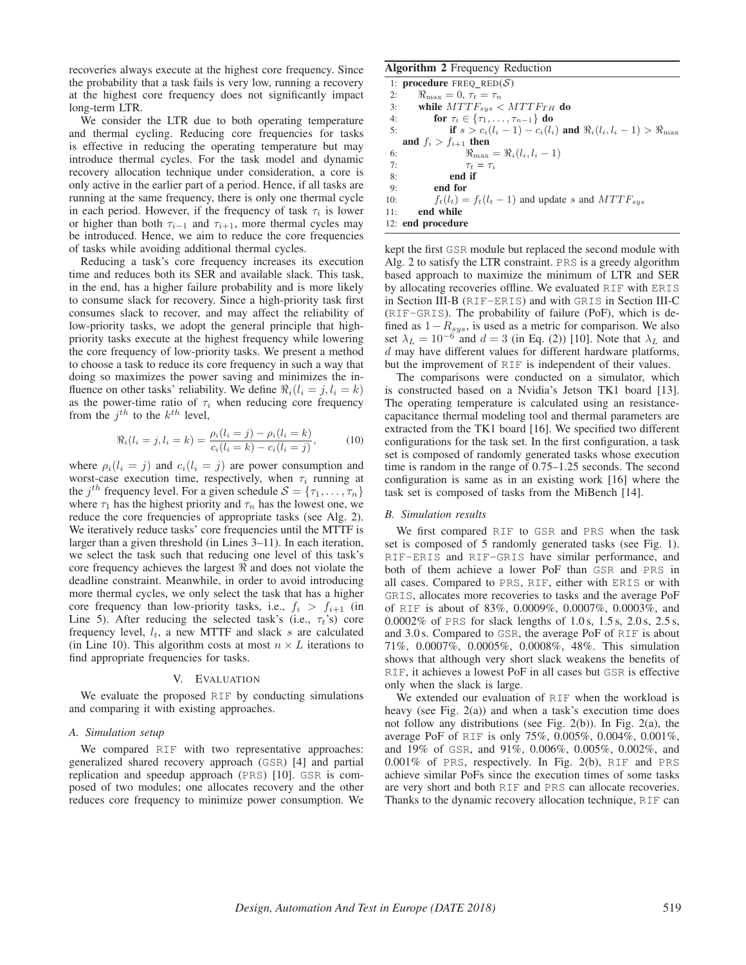recoveries always execute at the highest core frequency. Since the probability that a task fails is very low, running a recovery at the highest core frequency does not significantly impact long-term LTR.

We consider the LTR due to both operating temperature and thermal cycling. Reducing core frequencies for tasks is effective in reducing the operating temperature but may introduce thermal cycles. For the task model and dynamic recovery allocation technique under consideration, a core is only active in the earlier part of a period. Hence, if all tasks are running at the same frequency, there is only one thermal cycle in each period. However, if the frequency of task  $\tau_i$  is lower or higher than both  $\tau_{i-1}$  and  $\tau_{i+1}$ , more thermal cycles may be introduced. Hence, we aim to reduce the core frequencies of tasks while avoiding additional thermal cycles.

Reducing a task's core frequency increases its execution time and reduces both its SER and available slack. This task, in the end, has a higher failure probability and is more likely to consume slack for recovery. Since a high-priority task first consumes slack to recover, and may affect the reliability of low-priority tasks, we adopt the general principle that highpriority tasks execute at the highest frequency while lowering the core frequency of low-priority tasks. We present a method to choose a task to reduce its core frequency in such a way that doing so maximizes the power saving and minimizes the influence on other tasks' reliability. We define  $\Re_i(l_i = j, l_i = k)$ as the power-time ratio of  $\tau_i$  when reducing core frequency from the  $j^{th}$  to the  $k^{th}$  level,

$$
\Re_i(l_i = j, l_i = k) = \frac{\rho_i(l_i = j) - \rho_i(l_i = k)}{c_i(l_i = k) - c_i(l_i = j)},
$$
\n(10)

where  $\rho_i(l_i = j)$  and  $c_i(l_i = j)$  are power consumption and worst-case execution time, respectively, when  $\tau_i$  running at the *j*<sup>th</sup> frequency level. For a given schedule  $S = \{\tau_1, \ldots, \tau_n\}$ where  $\tau_1$  has the highest priority and  $\tau_n$  has the lowest one, we reduce the core frequencies of appropriate tasks (see Alg. 2). We iteratively reduce tasks' core frequencies until the MTTF is larger than a given threshold (in Lines 3–11). In each iteration, we select the task such that reducing one level of this task's core frequency achieves the largest  $\Re$  and does not violate the deadline constraint. Meanwhile, in order to avoid introducing more thermal cycles, we only select the task that has a higher core frequency than low-priority tasks, i.e.,  $f_i > f_{i+1}$  (in Line 5). After reducing the selected task's (i.e.,  $\tau_t$ 's) core frequency level, *l*t, a new MTTF and slack *s* are calculated (in Line 10). This algorithm costs at most  $n \times L$  iterations to find appropriate frequencies for tasks.

# V. EVALUATION

We evaluate the proposed RIF by conducting simulations and comparing it with existing approaches.

# *A. Simulation setup*

We compared RIF with two representative approaches: generalized shared recovery approach (GSR) [4] and partial replication and speedup approach (PRS) [10]. GSR is composed of two modules; one allocates recovery and the other reduces core frequency to minimize power consumption. We

# Algorithm 2 Frequency Reduction

1: **procedure** FREQ RED $(S)$ 2:  $\Re_{\text{max}} = 0, \tau_t = \tau_n$ <br>3: **while**  $MTTF_{sus} <$ 3: while  $MTTF_{sys} < MTTF_{TH}$  do<br>4: for  $\tau_i \in {\tau_1, \ldots, \tau_{n-1}}$  do 4: **for**  $\tau_i \in \{\tau_1, ..., \tau_{n-1}\}$  **do**<br>5: **if**  $s > c_i(l_i - 1) - c_i(l_i)$ if  $s > c_i(l_i - 1) - c_i(l_i)$  and  $\Re_i(l_i, l_i - 1) > \Re_{\max}$ and  $f_i > f_{i+1}$  then 6:  $\Re_{\text{max}} = \Re_i(l_i, l_i - 1)$ 7:  $\tau_t = \tau_i$ 8: end if 9: **end for**  $f_t(l_t) =$  $f_t(l_t) = f_t(l_t - 1)$  and update s and  $MTTF_{sys}$ 11: end while 12: end procedure

kept the first GSR module but replaced the second module with Alg. 2 to satisfy the LTR constraint. PRS is a greedy algorithm based approach to maximize the minimum of LTR and SER by allocating recoveries offline. We evaluated RIF with ERIS in Section III-B (RIF-ERIS) and with GRIS in Section III-C (RIF-GRIS). The probability of failure (PoF), which is defined as  $1-R<sub>sys</sub>$ , is used as a metric for comparison. We also set  $\lambda_L = 10^{-6}$  and  $d = 3$  (in Eq. (2)) [10]. Note that  $\lambda_L$  and *d* may have different values for different hardware platforms, but the improvement of RIF is independent of their values.

The comparisons were conducted on a simulator, which is constructed based on a Nvidia's Jetson TK1 board [13]. The operating temperature is calculated using an resistancecapacitance thermal modeling tool and thermal parameters are extracted from the TK1 board [16]. We specified two different configurations for the task set. In the first configuration, a task set is composed of randomly generated tasks whose execution time is random in the range of 0.75–1.25 seconds. The second configuration is same as in an existing work [16] where the task set is composed of tasks from the MiBench [14].

# *B. Simulation results*

We first compared RIF to GSR and PRS when the task set is composed of 5 randomly generated tasks (see Fig. 1). RIF-ERIS and RIF-GRIS have similar performance, and both of them achieve a lower PoF than GSR and PRS in all cases. Compared to PRS, RIF, either with ERIS or with GRIS, allocates more recoveries to tasks and the average PoF of RIF is about of 83%, 0.0009%, 0.0007%, 0.0003%, and 0.0002% of PRS for slack lengths of 1.0 s, 1.5 s, 2.0 s, 2.5 s, and 3.0 s. Compared to GSR, the average PoF of RIF is about 71%, 0.0007%, 0.0005%, 0.0008%, 48%. This simulation shows that although very short slack weakens the benefits of RIF, it achieves a lowest PoF in all cases but GSR is effective only when the slack is large.

We extended our evaluation of RIF when the workload is heavy (see Fig. 2(a)) and when a task's execution time does not follow any distributions (see Fig. 2(b)). In Fig. 2(a), the average PoF of RIF is only 75%, 0.005%, 0.004%, 0.001%, and 19% of GSR, and 91%, 0.006%, 0.005%, 0.002%, and 0.001% of PRS, respectively. In Fig. 2(b), RIF and PRS achieve similar PoFs since the execution times of some tasks are very short and both RIF and PRS can allocate recoveries. Thanks to the dynamic recovery allocation technique, RIF can